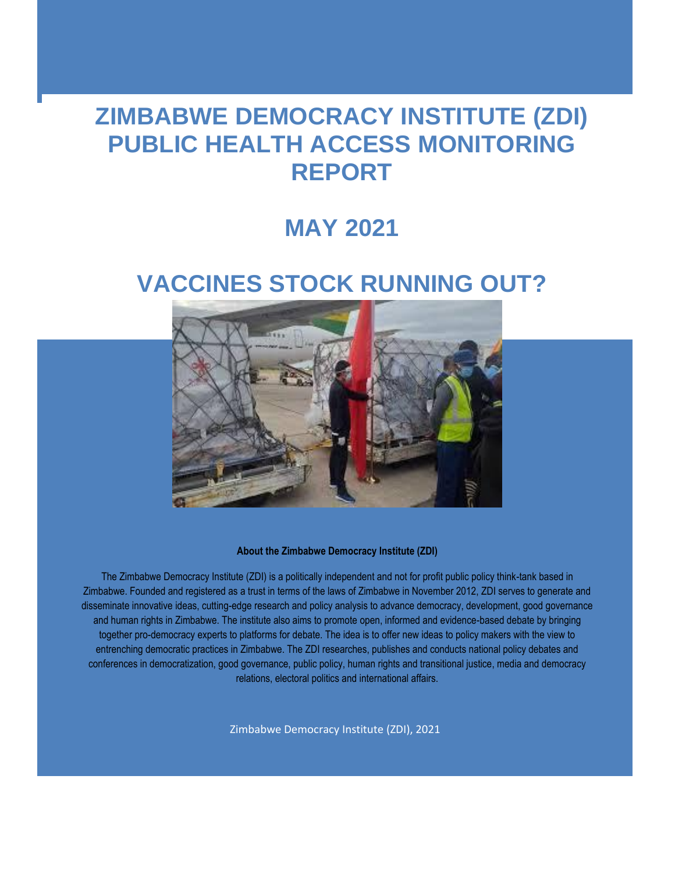## **ZIMBABWE DEMOCRACY INSTITUTE (ZDI) PUBLIC HEALTH ACCESS MONITORING REPORT**

## **MAY 2021**

# **VACCINES STOCK RUNNING OUT?**



**About the Zimbabwe Democracy Institute (ZDI)**

The Zimbabwe Democracy Institute (ZDI) is a politically independent and not for profit public policy think-tank based in Zimbabwe. Founded and registered as a trust in terms of the laws of Zimbabwe in November 2012, ZDI serves to generate and disseminate innovative ideas, cutting-edge research and policy analysis to advance democracy, development, good governance and human rights in Zimbabwe. The institute also aims to promote open, informed and evidence-based debate by bringing together pro-democracy experts to platforms for debate. The idea is to offer new ideas to policy makers with the view to entrenching democratic practices in Zimbabwe. The ZDI researches, publishes and conducts national policy debates and conferences in democratization, good governance, public policy, human rights and transitional justice, media and democracy relations, electoral politics and international affairs.

Zimbabwe Democracy Institute (ZDI), 2021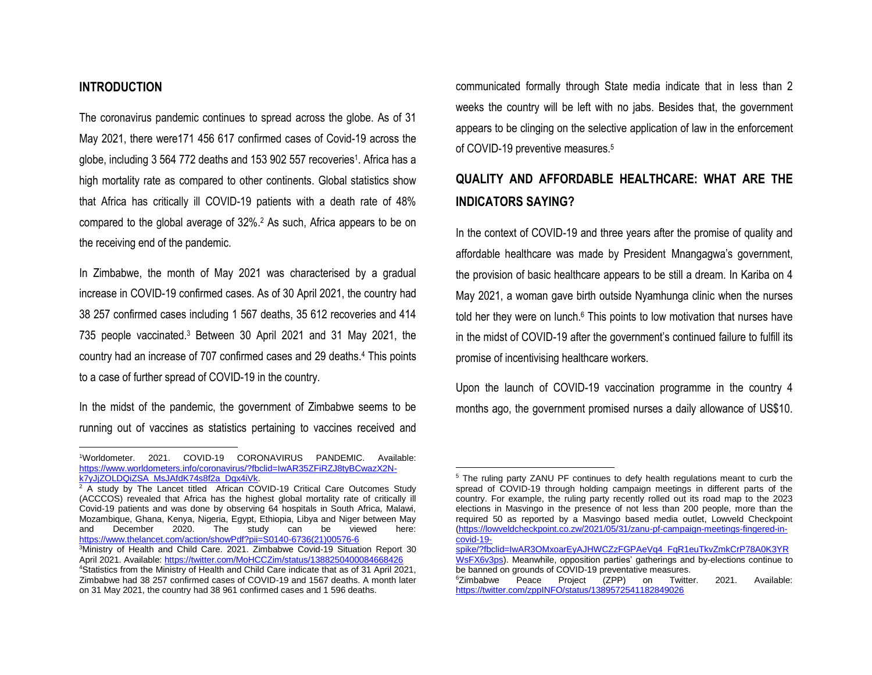### **INTRODUCTION**

 $\overline{\phantom{a}}$ 

The coronavirus pandemic continues to spread across the globe. As of 31 May 2021, there were171 456 617 confirmed cases of Covid-19 across the globe, including 3 564 772 deaths and 153 902 557 recoveries<sup>1</sup>. Africa has a high mortality rate as compared to other continents. Global statistics show that Africa has critically ill COVID-19 patients with a death rate of 48% compared to the global average of 32%.<sup>2</sup> As such, Africa appears to be on the receiving end of the pandemic.

In Zimbabwe, the month of May 2021 was characterised by a gradual increase in COVID-19 confirmed cases. As of 30 April 2021, the country had 38 257 confirmed cases including 1 567 deaths, 35 612 recoveries and 414 735 people vaccinated.<sup>3</sup> Between 30 April 2021 and 31 May 2021, the country had an increase of 707 confirmed cases and 29 deaths.<sup>4</sup> This points to a case of further spread of COVID-19 in the country.

In the midst of the pandemic, the government of Zimbabwe seems to be running out of vaccines as statistics pertaining to vaccines received and

<sup>2</sup> A study by The Lancet titled African COVID-19 Critical Care Outcomes Study (ACCCOS) revealed that Africa has the highest global mortality rate of critically ill Covid-19 patients and was done by observing 64 hospitals in South Africa, Malawi, Mozambique, Ghana, Kenya, Nigeria, Egypt, Ethiopia, Libya and Niger between May and December 2020. The study can be viewed here: [https://www.thelancet.com/action/showPdf?pii=S0140-6736\(21\)00576-6](https://www.thelancet.com/action/showPdf?pii=S0140-6736(21)00576-6)

communicated formally through State media indicate that in less than 2 weeks the country will be left with no jabs. Besides that, the government appears to be clinging on the selective application of law in the enforcement of COVID-19 preventive measures.<sup>5</sup>

### **QUALITY AND AFFORDABLE HEALTHCARE: WHAT ARE THE INDICATORS SAYING?**

In the context of COVID-19 and three years after the promise of quality and affordable healthcare was made by President Mnangagwa's government, the provision of basic healthcare appears to be still a dream. In Kariba on 4 May 2021, a woman gave birth outside Nyamhunga clinic when the nurses told her they were on lunch. $6$  This points to low motivation that nurses have in the midst of COVID-19 after the government's continued failure to fulfill its promise of incentivising healthcare workers.

Upon the launch of COVID-19 vaccination programme in the country 4 months ago, the government promised nurses a daily allowance of US\$10.

 $\overline{\phantom{a}}$ 

<sup>1</sup>Worldometer. 2021. COVID-19 CORONAVIRUS PANDEMIC. Available: [https://www.worldometers.info/coronavirus/?fbclid=IwAR35ZFiRZJ8tyBCwazX2N](https://www.worldometers.info/coronavirus/?fbclid=IwAR35ZFiRZJ8tyBCwazX2N-k7yJjZOLDQiZSA_MsJAfdK74s8f2a_Dgx4iVk)[k7yJjZOLDQiZSA\\_MsJAfdK74s8f2a\\_Dgx4iVk.](https://www.worldometers.info/coronavirus/?fbclid=IwAR35ZFiRZJ8tyBCwazX2N-k7yJjZOLDQiZSA_MsJAfdK74s8f2a_Dgx4iVk) 

<sup>&</sup>lt;sup>3</sup>Ministry of Health and Child Care. 2021. Zimbabwe Covid-19 Situation Report 30 April 2021. Available[: https://twitter.com/MoHCCZim/status/1388250400084668426](https://twitter.com/MoHCCZim/status/1388250400084668426) <sup>4</sup>Statistics from the Ministry of Health and Child Care indicate that as of 31 April 2021, Zimbabwe had 38 257 confirmed cases of COVID-19 and 1567 deaths. A month later on 31 May 2021, the country had 38 961 confirmed cases and 1 596 deaths.

<sup>&</sup>lt;sup>5</sup> The ruling party ZANU PF continues to defy health regulations meant to curb the spread of COVID-19 through holding campaign meetings in different parts of the country. For example, the ruling party recently rolled out its road map to the 2023 elections in Masvingo in the presence of not less than 200 people, more than the required 50 as reported by a Masvingo based media outlet, Lowveld Checkpoint [\(https://lowveldcheckpoint.co.zw/2021/05/31/zanu-pf-campaign-meetings-fingered-in](https://lowveldcheckpoint.co.zw/2021/05/31/zanu-pf-campaign-meetings-fingered-in-covid-19-spike/?fbclid=IwAR3OMxoarEyAJHWCZzFGPAeVq4_FqR1euTkvZmkCrP78A0K3YRWsFX6v3ps)[covid-19-](https://lowveldcheckpoint.co.zw/2021/05/31/zanu-pf-campaign-meetings-fingered-in-covid-19-spike/?fbclid=IwAR3OMxoarEyAJHWCZzFGPAeVq4_FqR1euTkvZmkCrP78A0K3YRWsFX6v3ps)

[spike/?fbclid=IwAR3OMxoarEyAJHWCZzFGPAeVq4\\_FqR1euTkvZmkCrP78A0K3YR](https://lowveldcheckpoint.co.zw/2021/05/31/zanu-pf-campaign-meetings-fingered-in-covid-19-spike/?fbclid=IwAR3OMxoarEyAJHWCZzFGPAeVq4_FqR1euTkvZmkCrP78A0K3YRWsFX6v3ps) [WsFX6v3ps\)](https://lowveldcheckpoint.co.zw/2021/05/31/zanu-pf-campaign-meetings-fingered-in-covid-19-spike/?fbclid=IwAR3OMxoarEyAJHWCZzFGPAeVq4_FqR1euTkvZmkCrP78A0K3YRWsFX6v3ps). Meanwhile, opposition parties' gatherings and by-elections continue to be banned on grounds of COVID-19 preventative measures.<br>
<sup>6</sup>Zimbabwe Peace Project (ZPP) on Twitte

on Twitter. 2021. Available: <https://twitter.com/zppINFO/status/1389572541182849026>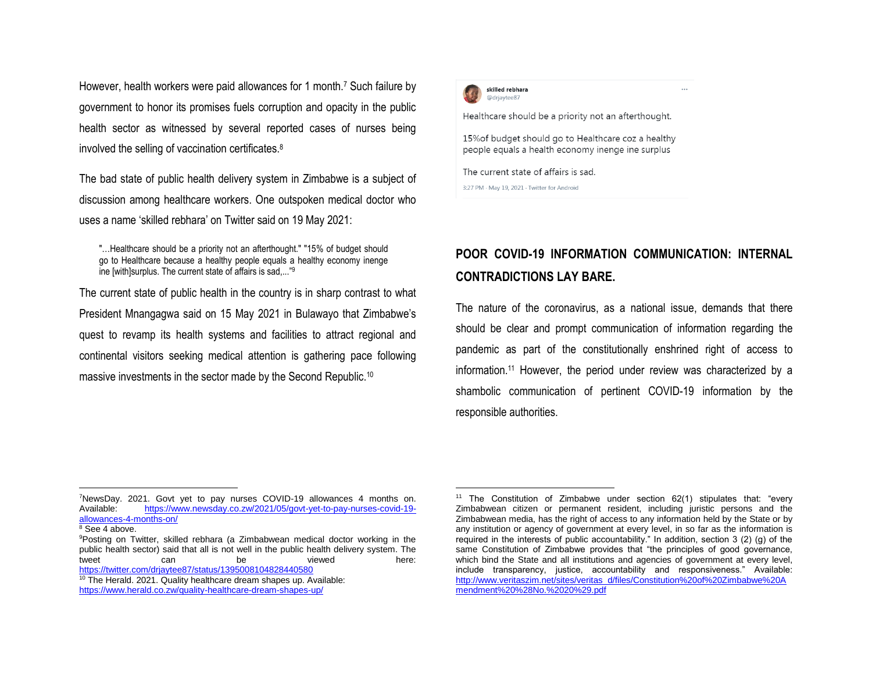However, health workers were paid allowances for 1 month.<sup>7</sup> Such failure by government to honor its promises fuels corruption and opacity in the public health sector as witnessed by several reported cases of nurses being involved the selling of vaccination certificates.<sup>8</sup>

The bad state of public health delivery system in Zimbabwe is a subject of discussion among healthcare workers. One outspoken medical doctor who uses a name 'skilled rebhara' on Twitter said on 19 May 2021:

"…Healthcare should be a priority not an afterthought." "15% of budget should go to Healthcare because a healthy people equals a healthy economy inenge ine [with]surplus. The current state of affairs is sad,..."<sup>9</sup>

The current state of public health in the country is in sharp contrast to what President Mnangagwa said on 15 May 2021 in Bulawayo that Zimbabwe's quest to revamp its health systems and facilities to attract regional and continental visitors seeking medical attention is gathering pace following massive investments in the sector made by the Second Republic.<sup>10</sup>



 $\overline{a}$ 

Healthcare should be a priority not an afterthought.

15% of budget should go to Healthcare coz a healthy people equals a health economy inenge ine surplus

The current state of affairs is sad.

3:27 PM · May 19, 2021 · Twitter for Android

### **POOR COVID-19 INFORMATION COMMUNICATION: INTERNAL CONTRADICTIONS LAY BARE.**

The nature of the coronavirus, as a national issue, demands that there should be clear and prompt communication of information regarding the pandemic as part of the constitutionally enshrined right of access to information.<sup>11</sup> However, the period under review was characterized by a shambolic communication of pertinent COVID-19 information by the responsible authorities.

 $\overline{a}$ 

<sup>&</sup>lt;sup>7</sup>NewsDay. 2021. Govt yet to pay nurses COVID-19 allowances 4 months on.<br>Available: https://www.newsday.co.zw/2021/05/govt-vet-to-pay-nurses-covid-19[https://www.newsday.co.zw/2021/05/govt-yet-to-pay-nurses-covid-19](https://www.newsday.co.zw/2021/05/govt-yet-to-pay-nurses-covid-19-allowances-4-months-on/) [allowances-4-months-on/](https://www.newsday.co.zw/2021/05/govt-yet-to-pay-nurses-covid-19-allowances-4-months-on/)

<sup>8</sup> See 4 above.

<sup>9</sup>Posting on Twitter, skilled rebhara (a Zimbabwean medical doctor working in the public health sector) said that all is not well in the public health delivery system. The tweet can be viewed here: <https://twitter.com/drjaytee87/status/1395008104828440580>

<sup>&</sup>lt;sup>10</sup> The Herald. 2021. Quality healthcare dream shapes up. Available: <https://www.herald.co.zw/quality-healthcare-dream-shapes-up/>

<sup>11</sup> The Constitution of Zimbabwe under section 62(1) stipulates that: "every Zimbabwean citizen or permanent resident, including juristic persons and the Zimbabwean media, has the right of access to any information held by the State or by any institution or agency of government at every level, in so far as the information is required in the interests of public accountability." In addition, section 3 (2) (g) of the same Constitution of Zimbabwe provides that "the principles of good governance, which bind the State and all institutions and agencies of government at every level, include transparency, justice, accountability and responsiveness." Available: [http://www.veritaszim.net/sites/veritas\\_d/files/Constitution%20of%20Zimbabwe%20A](http://www.veritaszim.net/sites/veritas_d/files/Constitution%20of%20Zimbabwe%20Amendment%20%28No.%2020%29.pdf) [mendment%20%28No.%2020%29.pdf](http://www.veritaszim.net/sites/veritas_d/files/Constitution%20of%20Zimbabwe%20Amendment%20%28No.%2020%29.pdf)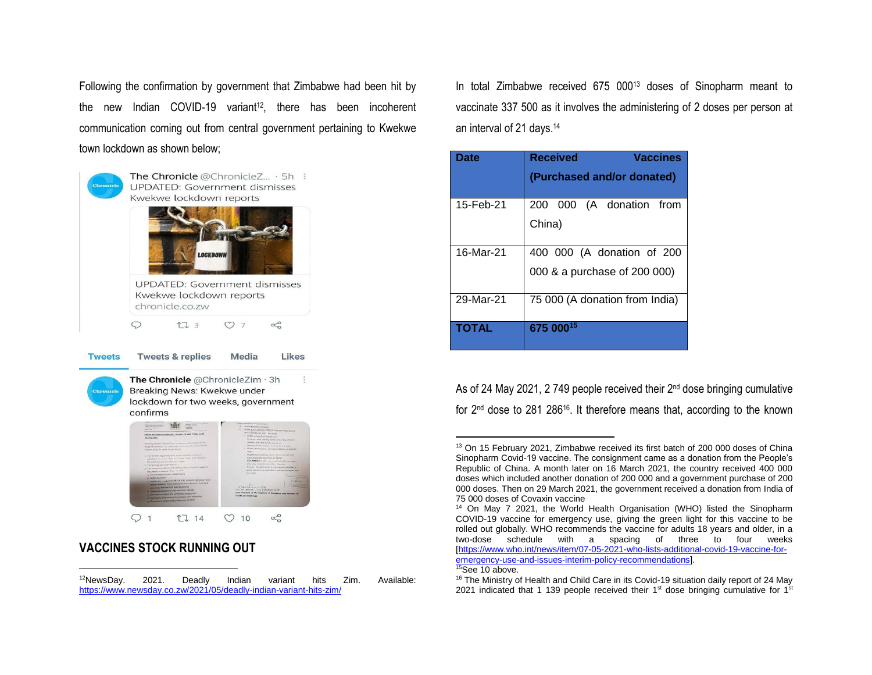Following the confirmation by government that Zimbabwe had been hit by the new Indian COVID-19 variant<sup>12</sup>, there has been incoherent communication coming out from central government pertaining to Kwekwe town lockdown as shown below;



### **VACCINES STOCK RUNNING OUT**

l

In total Zimbabwe received 675 000<sup>13</sup> doses of Sinopharm meant to vaccinate 337 500 as it involves the administering of 2 doses per person at an interval of 21 days.<sup>14</sup>

| Date         | <b>Received</b><br><b>Vaccines</b>                         |
|--------------|------------------------------------------------------------|
|              | (Purchased and/or donated)                                 |
| 15-Feb-21    | 200 000 (A donation from<br>China)                         |
| 16-Mar-21    | 400 000 (A donation of 200<br>000 & a purchase of 200 000) |
| 29-Mar-21    | 75 000 (A donation from India)                             |
| <b>TOTAL</b> | 675 00015                                                  |

As of 24 May 2021, 2 749 people received their 2<sup>nd</sup> dose bringing cumulative for 2nd dose to 281 28616. It therefore means that, according to the known

<sup>15</sup>See 10 above.

 $\overline{a}$ 

<sup>&</sup>lt;sup>12</sup>NewsDav. 2021. Deadly Indian variant hits Zim. Available: <https://www.newsday.co.zw/2021/05/deadly-indian-variant-hits-zim/>

<sup>&</sup>lt;sup>13</sup> On 15 February 2021, Zimbabwe received its first batch of 200 000 doses of China Sinopharm Covid-19 vaccine. The consignment came as a donation from the People's Republic of China. A month later on 16 March 2021, the country received 400 000 doses which included another donation of 200 000 and a government purchase of 200 000 doses. Then on 29 March 2021, the government received a donation from India of 75 000 doses of Covaxin vaccine

<sup>&</sup>lt;sup>14</sup> On May 7 2021, the World Health Organisation (WHO) listed the Sinopharm COVID-19 vaccine for emergency use, giving the green light for this vaccine to be rolled out globally. WHO recommends the vaccine for adults 18 years and older, in a two-dose schedule with a spacing of three to four weeks [\[https://www.who.int/news/item/07-05-2021-who-lists-additional-covid-19-vaccine-for](https://www.who.int/news/item/07-05-2021-who-lists-additional-covid-19-vaccine-for-emergency-use-and-issues-interim-policy-recommendations)[emergency-use-and-issues-interim-policy-recommendations\].](https://www.who.int/news/item/07-05-2021-who-lists-additional-covid-19-vaccine-for-emergency-use-and-issues-interim-policy-recommendations)

<sup>&</sup>lt;sup>16</sup> The Ministry of Health and Child Care in its Covid-19 situation daily report of 24 May 2021 indicated that 1 139 people received their 1st dose bringing cumulative for  $1<sup>st</sup>$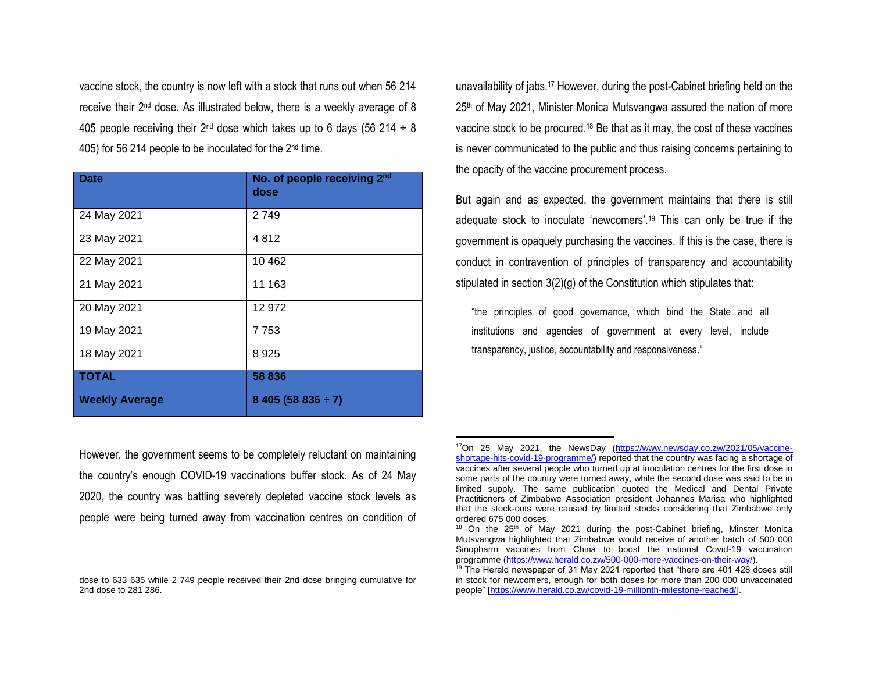vaccine stock, the country is now left with a stock that runs out when 56 214 receive their 2nd dose. As illustrated below, there is a weekly average of 8 405 people receiving their 2<sup>nd</sup> dose which takes up to 6 days (56 214  $\div$  8 405) for 56 214 people to be inoculated for the 2nd time.

| <b>Date</b>           | No. of people receiving 2nd<br>dose |
|-----------------------|-------------------------------------|
| 24 May 2021           | 2 7 4 9                             |
| 23 May 2021           | 4812                                |
| 22 May 2021           | 10 4 62                             |
| 21 May 2021           | 11 163                              |
| 20 May 2021           | 12 972                              |
| 19 May 2021           | 7 7 5 3                             |
| 18 May 2021           | 8925                                |
| <b>TOTAL</b>          | 58 836                              |
| <b>Weekly Average</b> | $8405(58836 \div 7)$                |

unavailability of jabs.<sup>17</sup> However, during the post-Cabinet briefing held on the  $25<sup>th</sup>$  of May 2021, Minister Monica Mutsvangwa assured the nation of more vaccine stock to be procured.<sup>18</sup> Be that as it may, the cost of these vaccines is never communicated to the public and thus raising concerns pertaining to the opacity of the vaccine procurement process.

But again and as expected, the government maintains that there is still adequate stock to inoculate 'newcomers'.<sup>19</sup> This can only be true if the government is opaquely purchasing the vaccines. If this is the case, there is conduct in contravention of principles of transparency and accountability stipulated in section 3(2)(g) of the Constitution which stipulates that:

"the principles of good governance, which bind the State and all institutions and agencies of government at every level, include transparency, justice, accountability and responsiveness."

However, the government seems to be completely reluctant on maintaining the country's enough COVID-19 vaccinations buffer stock. As of 24 May 2020, the country was battling severely depleted vaccine stock levels as people were being turned away from vaccination centres on condition of

l

 $\overline{a}$ 

dose to 633 635 while 2 749 people received their 2nd dose bringing cumulative for 2nd dose to 281 286.

<sup>17</sup>On 25 May 2021, the NewsDay [\(https://www.newsday.co.zw/2021/05/vaccine](https://www.newsday.co.zw/2021/05/vaccine-shortage-hits-covid-19-programme/)[shortage-hits-covid-19-programme/\)](https://www.newsday.co.zw/2021/05/vaccine-shortage-hits-covid-19-programme/) reported that the country was facing a shortage of vaccines after several people who turned up at inoculation centres for the first dose in some parts of the country were turned away, while the second dose was said to be in limited supply. The same publication quoted the Medical and Dental Private Practitioners of Zimbabwe Association president Johannes Marisa who highlighted that the stock-outs were caused by limited stocks considering that Zimbabwe only ordered 675 000 doses.

<sup>&</sup>lt;sup>18</sup> On the  $25<sup>th</sup>$  of May 2021 during the post-Cabinet briefing, Minster Monica Mutsvangwa highlighted that Zimbabwe would receive of another batch of 500 000 Sinopharm vaccines from China to boost the national Covid-19 vaccination programme [\(https://www.herald.co.zw/500-000-more-vaccines-on-their-way/\)](https://www.herald.co.zw/500-000-more-vaccines-on-their-way/).

 $19$  The Herald newspaper of 31 May 2021 reported that "there are 401 428 doses still in stock for newcomers, enough for both doses for more than 200 000 unvaccinated people" [\[https://www.herald.co.zw/covid-19-millionth-milestone-reached/\]](https://www.herald.co.zw/covid-19-millionth-milestone-reached/).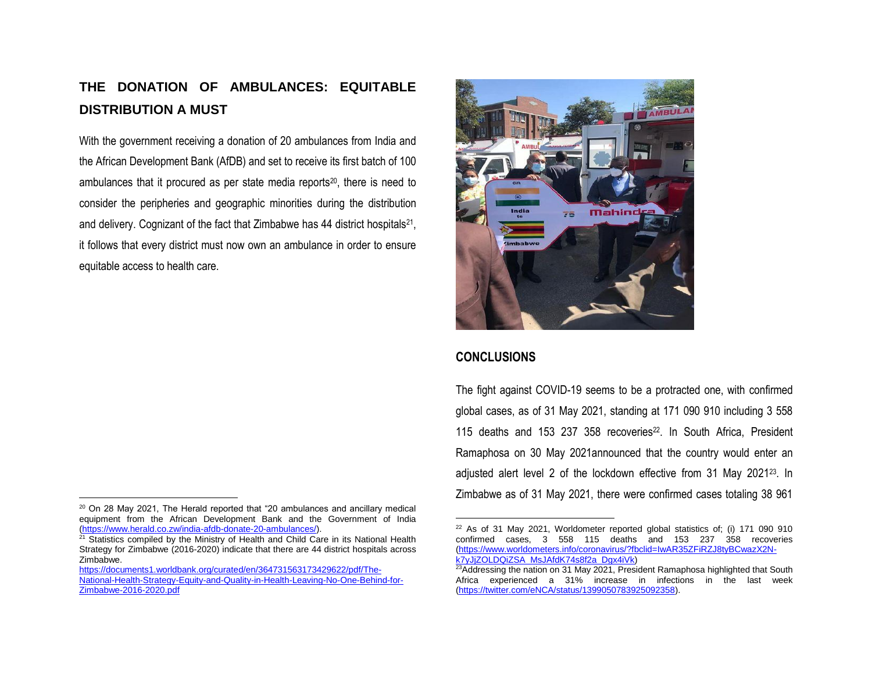### **THE DONATION OF AMBULANCES: EQUITABLE DISTRIBUTION A MUST**

With the government receiving a donation of 20 ambulances from India and the African Development Bank (AfDB) and set to receive its first batch of 100 ambulances that it procured as per state media reports<sup>20</sup>, there is need to consider the peripheries and geographic minorities during the distribution and delivery. Cognizant of the fact that Zimbabwe has 44 district hospitals<sup>21</sup>, it follows that every district must now own an ambulance in order to ensure equitable access to health care.

[https://documents1.worldbank.org/curated/en/364731563173429622/pdf/The-](https://documents1.worldbank.org/curated/en/364731563173429622/pdf/The-National-Health-Strategy-Equity-and-Quality-in-Health-Leaving-No-One-Behind-for-Zimbabwe-2016-2020.pdf)[National-Health-Strategy-Equity-and-Quality-in-Health-Leaving-No-One-Behind-for-](https://documents1.worldbank.org/curated/en/364731563173429622/pdf/The-National-Health-Strategy-Equity-and-Quality-in-Health-Leaving-No-One-Behind-for-Zimbabwe-2016-2020.pdf)[Zimbabwe-2016-2020.pdf](https://documents1.worldbank.org/curated/en/364731563173429622/pdf/The-National-Health-Strategy-Equity-and-Quality-in-Health-Leaving-No-One-Behind-for-Zimbabwe-2016-2020.pdf)



### **CONCLUSIONS**

The fight against COVID-19 seems to be a protracted one, with confirmed global cases, as of 31 May 2021, standing at 171 090 910 including 3 558 115 deaths and 153 237 358 recoveries<sup>22</sup>. In South Africa, President Ramaphosa on 30 May 2021announced that the country would enter an adjusted alert level 2 of the lockdown effective from 31 May 2021<sup>23</sup>. In Zimbabwe as of 31 May 2021, there were confirmed cases totaling 38 961

 $\overline{\phantom{a}}$  $20$  On 28 May 2021, The Herald reported that "20 ambulances and ancillary medical equipment from the African Development Bank and the Government of India [\(https://www.herald.co.zw/india-afdb-donate-20-ambulances/\)](https://www.herald.co.zw/india-afdb-donate-20-ambulances/).

 $21$  Statistics compiled by the Ministry of Health and Child Care in its National Health Strategy for Zimbabwe (2016-2020) indicate that there are 44 district hospitals across Zimbabwe.

 $\overline{\phantom{a}}$  $22$  As of 31 May 2021, Worldometer reported global statistics of; (i) 171 090 910 confirmed cases, 3 558 115 deaths and 153 237 358 recoveries [\(https://www.worldometers.info/coronavirus/?fbclid=IwAR35ZFiRZJ8tyBCwazX2N](https://www.worldometers.info/coronavirus/?fbclid=IwAR35ZFiRZJ8tyBCwazX2N-k7yJjZOLDQiZSA_MsJAfdK74s8f2a_Dgx4iVk)[k7yJjZOLDQiZSA\\_MsJAfdK74s8f2a\\_Dgx4iVk\)](https://www.worldometers.info/coronavirus/?fbclid=IwAR35ZFiRZJ8tyBCwazX2N-k7yJjZOLDQiZSA_MsJAfdK74s8f2a_Dgx4iVk)

 $23A$ ddressing the nation on 31 May 2021, President Ramaphosa highlighted that South Africa experienced a 31% increase in infections in the last week [\(https://twitter.com/eNCA/status/1399050783925092358\)](https://twitter.com/eNCA/status/1399050783925092358).